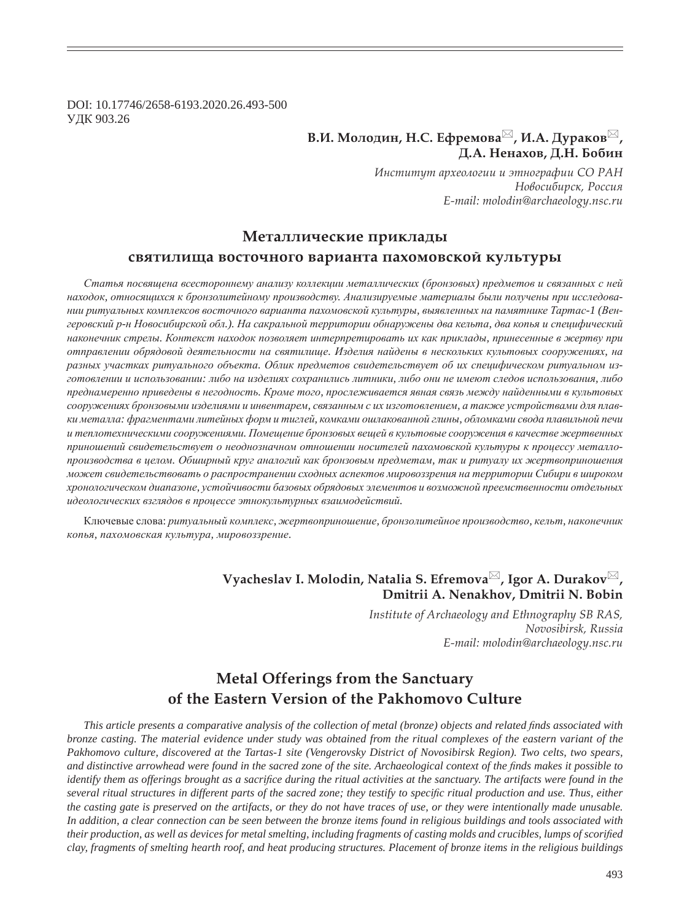DOI: 10.17746/2658-6193.2020.26.493-500 ɍȾɄ 903.26

# В.И. Молодин, Н.С. Ефремова<sup>⊠</sup>, И.А. Дураков<sup>⊠</sup>,  $\Box$  **Д.А.** Ненахов, Д.Н. Бобин

*ǶțȟȠȖȠȡȠ ȎȞȣȓȜșȜȑȖȖ Ȗ ȫȠțȜȑȞȎȢȖȖ ǿǼ ǾǮǻ*  $H$ овосибирск, Россия *E-mail: molodin@archaeology.nsc.ru*

### Металлические приклады

#### святилища восточного варианта пахомовской культуры

*ɋɬɚɬɶɹ ɩɨɫɜɹɳɟɧɚ ɜɫɟɫɬɨɪɨɧɧɟɦɭ ɚɧɚɥɢɡɭ ɤɨɥɥɟɤɰɢɢ ɦɟɬɚɥɥɢɱɟɫɤɢɯ (ɛɪɨɧɡɨɜɵɯ) ɩɪɟɞɦɟɬɨɜ ɢ ɫɜɹɡɚɧɧɵɯ ɫ ɧɟɣ* находок, относящихся к бронзолитейному производству. Анализируемые материалы были получены при исследовании ритуальных комплексов восточного варианта пахомовской культуры, выявленных на памятнике Тартас-1 (Венгеровский р-н Новосибирской обл.). На сакральной территории обнаружены два кельта, два копья и специфический наконечник стрелы. Контекст находок позволяет интерпретировать их как приклады, принесенные в жертву при *ɨɬɩɪɚɜɥɟɧɢɢ ɨɛɪɹɞɨɜɨɣ ɞɟɹɬɟɥɶɧɨɫɬɢ ɧɚ ɫɜɹɬɢɥɢɳɟ. ɂɡɞɟɥɢɹ ɧɚɣɞɟɧɵ ɜ ɧɟɫɤɨɥɶɤɢɯ ɤɭɥɶɬɨɜɵɯ ɫɨɨɪɭɠɟɧɢɹɯ, ɧɚ* разных участках ритуального объекта. Облик предметов свидетельствует об их специфическом ритуальном изготовлении и использовании: либо на изделиях сохранились литники, либо они не имеют следов использования, либо лреднамеренно приведены в негодность. Кроме того, прослеживается явная связь между найденными в культовых сооружениях бронзовыми изделиями и инвентарем, связанным с их изготовлением, а также устройствами для плавки металла: фрагментами литейных форм и тиглей, комками ошлакованной глины, обломками свода плавильной печи и теплотехническими сооружениями. Помещение бронзовых вещей в культовые сооружения в качестве жертвенных приношений свидетельствует о неоднозначном отношении носителей пахомовской культуры к процессу металлопроизводства в целом. Обширный круг аналогий как бронзовым предметам, так и ритуалу их жертвоприношения  $\kappa$ ажет свидетельствовать о распространении сходных аспектов мировоззрения на территории Сибири в широком  $x$ ронологическом диапазоне, устойчивости базовых обрядовых элементов и возможной преемственности отдельных идеологических взглядов в процессе этнокультурных взаимодействий.

Ключевые слова: ритуальный комплекс, жертвоприношение, бронзолитейное производство, кельт, наконечник  $k$ опья, пахомовская культура, мировоззрение.

# **Vyacheslav I. Molodin, Natalia S. Efremova<sup>⊠</sup>, Igor A. Durakov<sup>⊠</sup>, Dmitrii A. Nenakhov, Dmitrii N. Bobin**

*Institute of Archaeology and Ethnography SB RAS, Novosibirsk, Russia E-mail: molodin@archaeology.nsc.ru*

# **Metal Offerings from the Sanctuary of the Eastern Version of the Pakhomovo Culture**

*This article presents a comparative analysis of the collection of metal (bronze) objects and related finds associated with bronze casting. The material evidence under study was obtained from the ritual complexes of the eastern variant of the Pakhomovo culture, discovered at the Tartas-1 site (Vengerovsky District of Novosibirsk Region). Two celts, two spears, and distinctive arrowhead were found in the sacred zone of the site. Archaeological context of the finds makes it possible to identify them as offerings brought as a sacrifice during the ritual activities at the sanctuary. The artifacts were found in the several ritual structures in different parts of the sacred zone; they testify to specific ritual production and use. Thus, either the casting gate is preserved on the artifacts, or they do not have traces of use, or they were intentionally made unusable. In addition, a clear connection can be seen between the bronze items found in religious buildings and tools associated with their production, as well as devices for metal smelting, including fragments of casting molds and crucibles, lumps of scorified clay, fragments of smelting hearth roof, and heat producing structures. Placement of bronze items in the religious buildings*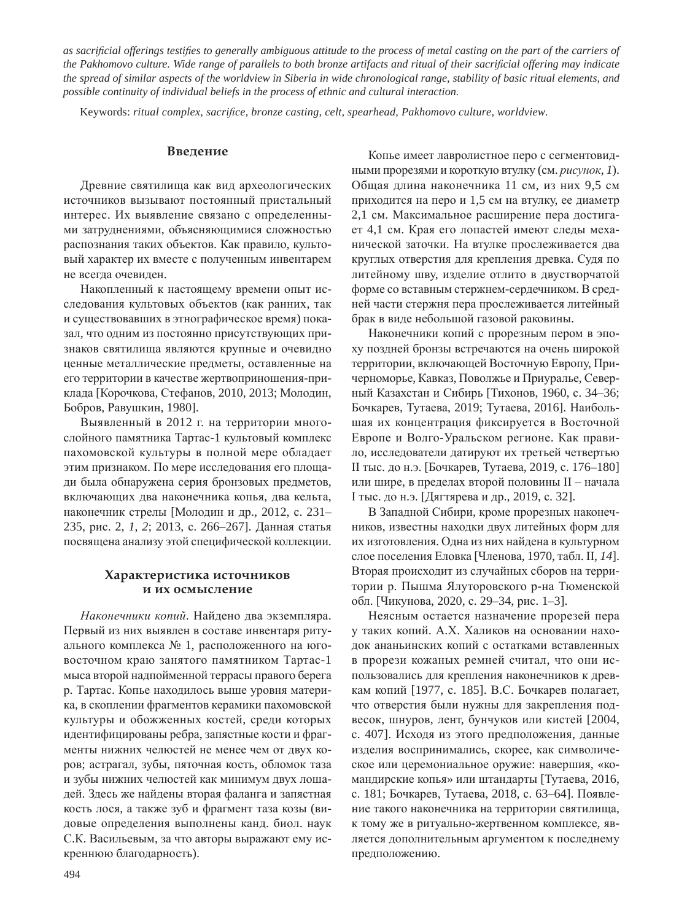*as sacri¿ cial offerings testi¿ es to generally ambiguous attitude to the process of metal casting on the part of the carriers of the Pakhomovo culture. Wide range of parallels to both bronze artifacts and ritual of their sacrificial offering may indicate the spread of similar aspects of the worldview in Siberia in wide chronological range, stability of basic ritual elements, and possible continuity of individual beliefs in the process of ethnic and cultural interaction.* 

Keywords: ritual complex, sacrifice, bronze casting, celt, spearhead, Pakhomovo culture, worldview.

#### **Введение**

Древние святилища как вид археологических источников вызывают постоянный пристальный интерес. Их выявление связано с определенными затруднениями, объясняющимися сложностью распознания таких объектов. Как правило, культовый характер их вместе с полученным инвентарем не всегда очевиден.

Накопленный к настоящему времени опыт исследования культовых объектов (как ранних, так и существовавших в этнографическое время) показал, что одним из постоянно присутствующих признаков святилища являются крупные и очевидно ценные металлические предметы, оставленные на его территории в качестве жертвоприношения-приклада [Корочкова, Стефанов, 2010, 2013; Молодин, Бобров, Равушкин, 1980].

Выявленный в 2012 г. на территории многослойного памятника Тартас-1 культовый комплекс пахомовской культуры в полной мере обладает этим признаком. По мере исследования его площади была обнаружена серия бронзовых предметов, включающих два наконечника копья, два кельта, наконечник стрелы [Молодин и др., 2012, с. 231-235, рис. 2, *1*, 2; 2013, с. 266–267]. Данная статья посвящена анализу этой специфической коллекции.

#### Характеристика источников **И ИХ ОСМЫСЛЕНИЕ**

Наконечники копий. Найдено два экземпляра. Первый из них выявлен в составе инвентаря ритуального комплекса № 1, расположенного на юговосточном краю занятого памятником Тартас-1 мыса второй надпойменной террасы правого берега р. Тартас. Копье находилось выше уровня материка, в скоплении фрагментов керамики пахомовской культуры и обожженных костей, среди которых идентифицированы ребра, запястные кости и фрагменты нижних челюстей не менее чем от двух коров; астрагал, зубы, пяточная кость, обломок таза и зубы нижних челюстей как минимум двух лошадей. Здесь же найдены вторая фаланга и запястная кость лося, а также зуб и фрагмент таза козы (видовые определения выполнены канд. биол. наук С.К. Васильевым, за что авторы выражают ему искреннюю благодарность).

Копье имеет лавролистное перо с сегментовидными прорезями и короткую втулку (см. рисунок, 1). Общая длина наконечника 11 см, из них 9,5 см приходится на перо и 1,5 см на втулку, ее диаметр 2,1 см. Максимальное расширение пера достигает 4,1 см. Края его лопастей имеют следы механической заточки. На втулке прослеживается два круглых отверстия для крепления древка. Судя по литейному шву, изделие отлито в двустворчатой форме со вставным стержнем-сердечником. В средней части стержня пера прослеживается литейный брак в виде небольшой газовой раковины.

Наконечники копий с прорезным пером в эпоху поздней бронзы встречаются на очень широкой территории, включающей Восточную Европу, Причерноморье, Кавказ, Поволжье и Приуралье, Северный Казахстан и Сибирь [Тихонов, 1960, с. 34-36; Бочкарев, Тутаева, 2019; Тутаева, 2016]. Наибольшая их концентрация фиксируется в Восточной Европе и Волго-Уральском регионе. Как правило, исследователи датируют их третьей четвертью II тыс. до н.э. [Бочкарев, Тутаева, 2019, с. 176–180] или шире, в пределах второй половины II – начала I тыс. до н.э. [Дягтярева и др., 2019, с. 32].

В Западной Сибири, кроме прорезных наконечников, известны находки двух литейных форм для их изготовления. Одна из них найдена в культурном слое поселения Еловка [Членова, 1970, табл. II, 14]. Вторая происходит из случайных сборов на территории р. Пышма Ялуторовского р-на Тюменской обл. [Чикунова, 2020, с. 29–34, рис. 1–3].

Неясным остается назначение прорезей пера у таких копий. А.Х. Халиков на основании находок ананьинских копий с остатками вставленных в прорези кожаных ремней считал, что они использовались для крепления наконечников к древкам копий [1977, с. 185]. В.С. Бочкарев полагает, что отверстия были нужны для закрепления подвесок, шнуров, лент, бунчуков или кистей [2004, с. 407]. Исходя из этого предположения, данные изделия воспринимались, скорее, как символическое или церемониальное оружие: навершия, «командирские копья» или штандарты [Тутаева, 2016, с. 181; Бочкарев, Тутаева, 2018, с. 63–64]. Появление такого наконечника на территории святилища, к тому же в ритуально-жертвенном комплексе, является дополнительным аргументом к последнему предположению.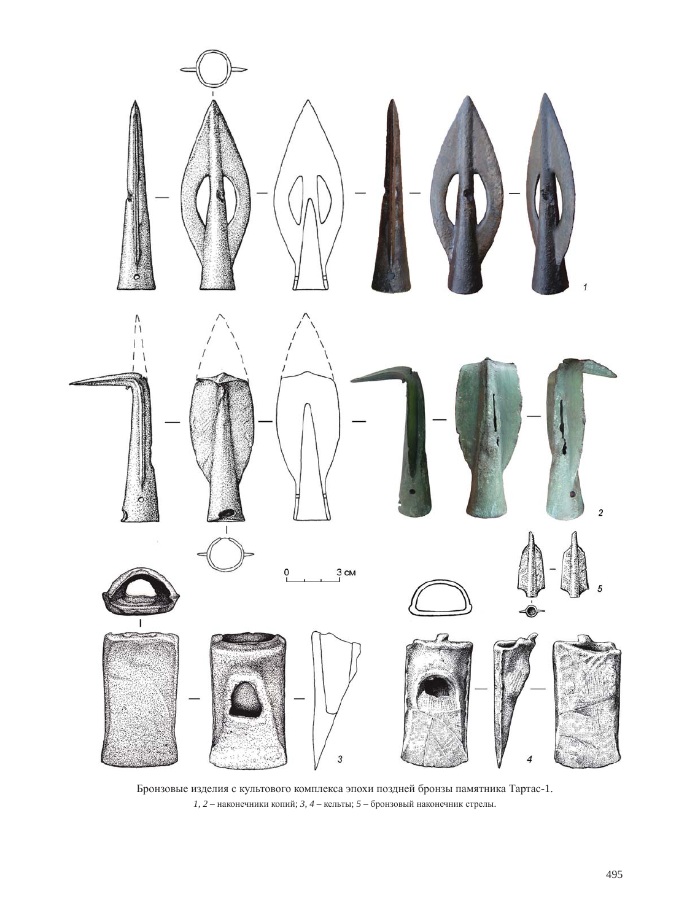

Бронзовые изделия с культового комплекса эпохи поздней бронзы памятника Тартас-1. *1, 2* – наконечники копий; *3, 4* – кельты; *5* – бронзовый наконечник стрелы.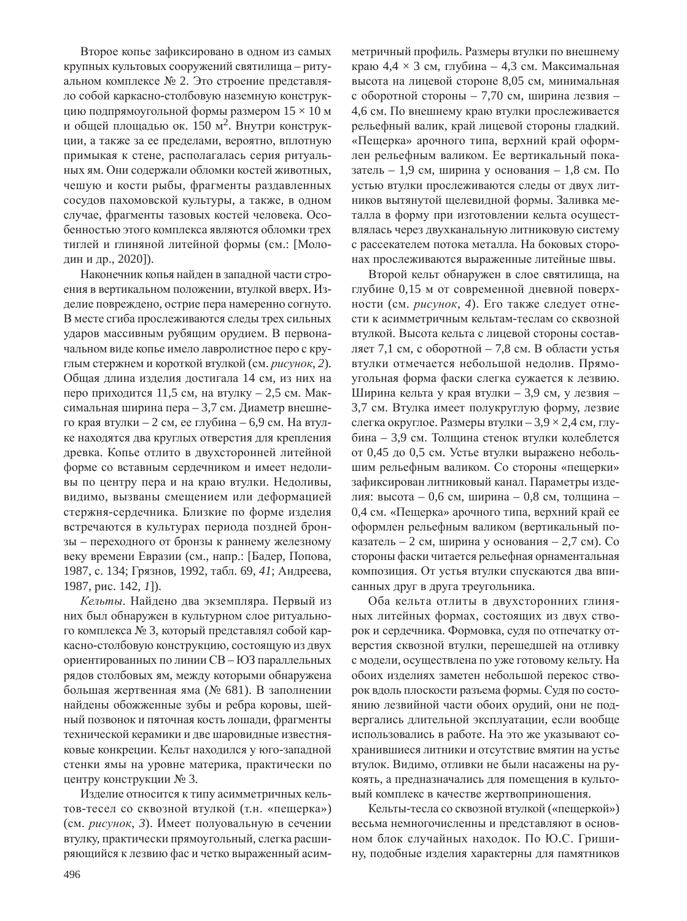Второе копье зафиксировано в одном из самых крупных культовых сооружений святилища - ритуальном комплексе № 2. Это строение представляло собой каркасно-столбовую наземную конструкцию подпрямоугольной формы размером  $15 \times 10$  м и общей площадью ок. 150 м<sup>2</sup>. Внутри конструкции, а также за ее пределами, вероятно, вплотную примыкая к стене, располагалась серия ритуальных ям. Они содержали обломки костей животных, чешую и кости рыбы, фрагменты раздавленных сосудов пахомовской культуры, а также, в одном случае, фрагменты тазовых костей человека. Особенностью этого комплекса являются обломки трех тиглей и глиняной литейной формы (см.: [Молодин и др., 2020]).

Наконечник копья найден в западной части строения в вертикальном положении, втулкой вверх. Изделие повреждено, острие пера намеренно согнуто. В месте сгиба прослеживаются следы трех сильных ударов массивным рубящим орудием. В первоначальном виде копье имело лавролистное перо с круглым стержнем и короткой втулкой (см. рисунок, 2). Общая длина изделия достигала 14 см, из них на перо приходится 11,5 см, на втулку – 2,5 см. Максимальная ширина пера – 3,7 см. Диаметр внешнего края втулки – 2 см, ее глубина – 6,9 см. На втулке находятся два круглых отверстия для крепления древка. Копье отлито в двухсторонней литейной форме со вставным сердечником и имеет недоливы по центру пера и на краю втулки. Недоливы, видимо, вызваны смещением или деформацией стержня-сердечника. Близкие по форме изделия встречаются в культурах периода поздней бронзы – переходного от бронзы к раннему железному веку времени Евразии (см., напр.: [Бадер, Попова, 1987, с. 134; Грязнов, 1992, табл. 69, 41; Андреева, 1987, рис. 142, *1*]).

Кельты. Найдено два экземпляра. Первый из них был обнаружен в культурном слое ритуального комплекса № 3, который представлял собой каркасно-столбовую конструкцию, состоящую из двух ориентированных по линии CB - ЮЗ параллельных рядов столбовых ям, между которыми обнаружена большая жертвенная яма (№ 681). В заполнении найдены обожженные зубы и ребра коровы, шейный позвонок и пяточная кость лошади, фрагменты технической керамики и две шаровидные известняковые конкреции. Кельт находился у юго-западной стенки ямы на уровне материка, практически по центру конструкции № 3.

Изделие относится к типу асимметричных кельтов-тесел со сквозной втулкой (т.н. «пещерка») (см. рисунок, 3). Имеет полуовальную в сечении втулку, практически прямоугольный, слегка расширяющийся к лезвию фас и четко выраженный асимметричный профиль. Размеры втулки по внешнему краю 4,4  $\times$  3 см, глубина – 4,3 см. Максимальная высота на лицевой стороне 8,05 см, минимальная с оборотной стороны – 7,70 см, ширина лезвия – 4,6 см. По внешнему краю втулки прослеживается рельефный валик, край лицевой стороны гладкий. «Пещерка» арочного типа, верхний край оформлен рельефным валиком. Ее вертикальный показатель – 1,9 см, ширина у основания – 1,8 см. По устью втулки прослеживаются следы от двух литников вытянутой щелевидной формы. Заливка металла в форму при изготовлении кельта осуществлялась через двухканальную литниковую систему с рассекателем потока металла. На боковых сторонах прослеживаются выраженные литейные швы.

Второй кельт обнаружен в слое святилища, на глубине 0,15 м от современной дневной поверхности (см. рисунок, 4). Его также следует отнести к асимметричным кельтам-теслам со сквозной втулкой. Высота кельта с лицевой стороны составляет 7,1 см, с оборотной – 7,8 см. В области устья втулки отмечается небольшой недолив. Прямоугольная форма фаски слегка сужается к лезвию. Ширина кельта у края втулки – 3,9 см, у лезвия – 3,7 см. Втулка имеет полукруглую форму, лезвие слегка округлое. Размеры втулки – 3,9  $\times$  2,4 см, глубина – 3,9 см. Толщина стенок втулки колеблется от 0,45 до 0,5 см. Устье втулки выражено небольшим рельефным валиком. Со стороны «пещерки» зафиксирован литниковый канал. Параметры изделия: высота – 0,6 см, ширина – 0,8 см, толщина – 0,4 см. «Пещерка» арочного типа, верхний край ее оформлен рельефным валиком (вертикальный показатель – 2 см, ширина у основания – 2,7 см). Со стороны фаски читается рельефная орнаментальная композиция. От устья втулки спускаются два вписанных друг в друга треугольника.

Оба кельта отлиты в двухсторонних глиняных литейных формах, состоящих из двух створок и сердечника. Формовка, судя по отпечатку отверстия сквозной втулки, перешедшей на отливку с модели, осуществлена по уже готовому кельту. На обоих изделиях заметен небольшой перекос створок вдоль плоскости разъема формы. Судя по состоянию лезвийной части обоих орудий, они не подвергались длительной эксплуатации, если вообще использовались в работе. На это же указывают сохранившиеся литники и отсутствие вмятин на устье втулок. Видимо, отливки не были насажены на рукоять, а предназначались для помещения в культовый комплекс в качестве жертвоприношения.

Кельты-тесла со сквозной втулкой («пещеркой») весьма немногочисленны и представляют в основном блок случайных находок. По Ю.С. Гришину, подобные изделия характерны для памятников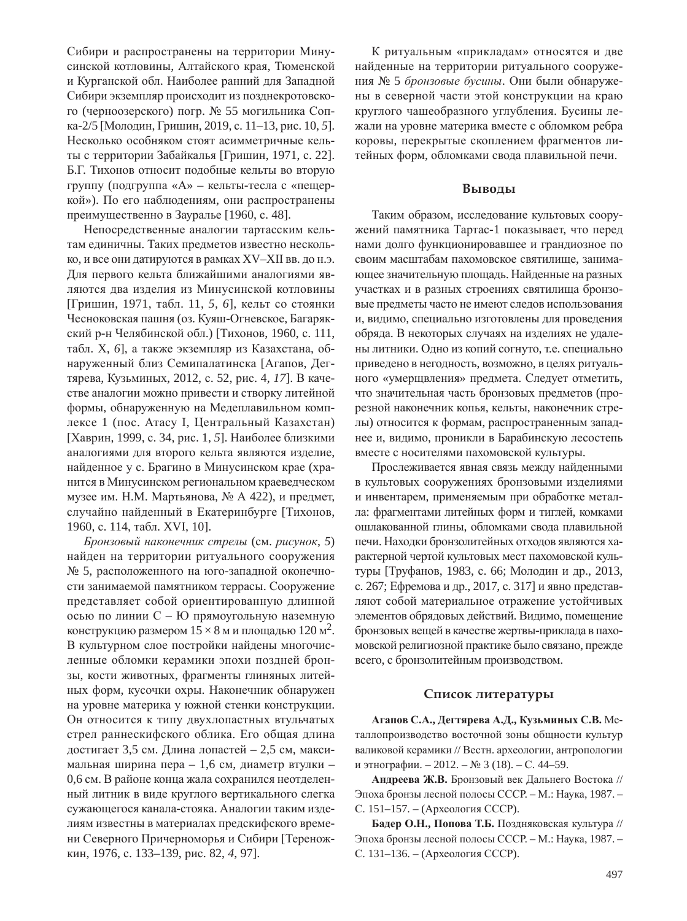Сибири и распространены на территории Минусинской котловины, Алтайского края, Тюменской и Курганской обл. Наиболее ранний для Западной Сибири экземпляр происходит из позднекротовского (черноозерского) погр. № 55 могильника Сопка-2/5 [Молодин, Гришин, 2019, с. 11–13, рис. 10, 5]. Несколько особняком стоят асимметричные кельты с территории Забайкалья [Гришин, 1971, с. 22]. Б.Г. Тихонов относит подобные кельты во вторую группу (подгруппа «А» – кельты-тесла с «пещеркой»). По его наблюдениям, они распространены преимущественно в Зауралье [1960, с. 48].

Непосредственные аналогии тартасским кельтам единичны. Таких предметов известно несколько, и все они датируются в рамках XV–XII вв. до н.э. Для первого кельта ближайшими аналогиями являются два изделия из Минусинской котловины [Гришин, 1971, табл. 11, 5, 6], кельт со стоянки Чесноковская пашня (оз. Куяш-Огневское, Багарякский р-н Челябинской обл.) [Тихонов, 1960, с. 111, табл. X, 6], а также экземпляр из Казахстана, обнаруженный близ Семипалатинска [Агапов, Дегтярева, Кузьминых, 2012, с. 52, рис. 4, 17]. В качестве аналогии можно привести и створку литейной формы, обнаруженную на Медеплавильном комплексе 1 (пос. Атасу I, Центральный Казахстан) [Хаврин, 1999, с. 34, рис. 1, 5]. Наиболее близкими аналогиями для второго кельта являются изделие, найденное у с. Брагино в Минусинском крае (хранится в Минусинском региональном краеведческом музее им. Н.М. Мартьянова, № А 422), и предмет, случайно найденный в Екатеринбурге [Тихонов, 1960, с. 114, табл. XVI, 10].

 $E$ ронзовый наконечник стрелы (см. рисунок, 5) найден на территории ритуального сооружения № 5, расположенного на юго-западной оконечности занимаемой памятником террасы. Сооружение представляет собой ориентированную длинной осью по линии С - Ю прямоугольную наземную конструкцию размером  $15 \times 8$  м и площадью  $120 \text{ m}^2$ . В культурном слое постройки найдены многочисленные обломки керамики эпохи поздней бронзы, кости животных, фрагменты глиняных литейных форм, кусочки охры. Наконечник обнаружен на уровне материка у южной стенки конструкции. Он относится к типу двухлопастных втульчатых стрел раннескифского облика. Его общая длина достигает 3,5 см. Длина лопастей – 2,5 см, максимальная ширина пера – 1,6 см, диаметр втулки – 0,6 см. В районе конца жала сохранился неотделенный литник в виде круглого вертикального слегка сужающегося канала-стояка. Аналогии таким изделиям известны в материалах предскифского времени Северного Причерноморья и Сибири [Тереножкин, 1976, с. 133–139, рис. 82, 4, 97].

К ритуальным «прикладам» относятся и две найденные на территории ритуального сооружения № 5 бронзовые бусины. Они были обнаружены в северной части этой конструкции на краю круглого чашеобразного углубления. Бусины лежали на уровне материка вместе с обломком ребра коровы, перекрытые скоплением фрагментов литейных форм, обломками свода плавильной печи.

#### **Выводы**

Таким образом, исследование культовых сооружений памятника Тартас-1 показывает, что перед нами долго функционировавшее и грандиозное по своим масштабам пахомовское святилище, занимающее значительную площадь. Найденные на разных участках и в разных строениях святилища бронзовые предметы часто не имеют следов использования и, видимо, специально изготовлены для проведения обряда. В некоторых случаях на изделиях не удалены литники. Одно из копий согнуто, т.е. специально приведено в негодность, возможно, в целях ритуального «умерщвления» предмета. Следует отметить, что значительная часть бронзовых предметов (прорезной наконечник копья, кельты, наконечник стрелы) относится к формам, распространенным западнее и, видимо, проникли в Барабинскую лесостепь вместе с носителями пахомовской культуры.

Прослеживается явная связь между найденными в культовых сооружениях бронзовыми изделиями и инвентарем, применяемым при обработке металла: фрагментами литейных форм и тиглей, комками ошлакованной глины, обломками свода плавильной печи. Находки бронзолитейных отходов являются характерной чертой культовых мест пахомовской культуры [Труфанов, 1983, с. 66; Молодин и др., 2013, с. 267; Ефремова и др., 2017, с. 317] и явно представляют собой материальное отражение устойчивых элементов обрядовых действий. Видимо, помещение бронзовых вещей в качестве жертвы-приклада в пахомовской религиозной практике было связано, прежде всего, с бронзолитейным производством.

#### Список литературы

 $\Lambda$ гапов С.А., Дегтярева А.Д., Кузьминых С.В. Металлопроизводство восточной зоны общности культур валиковой керамики // Вестн. археологии, антропологии и этнографии. – 2012. – № 3 (18). – С. 44–59.

Андреева Ж.В. Бронзовый век Дальнего Востока // Эпоха бронзы лесной полосы СССР. - М.: Наука, 1987. -С. 151-157. – (Археология СССР).

**Бадер О.Н., Попова Т.Б.** Поздняковская культура // Эпоха бронзы лесной полосы СССР. - М.: Наука, 1987. -С. 131-136. – (Археология СССР).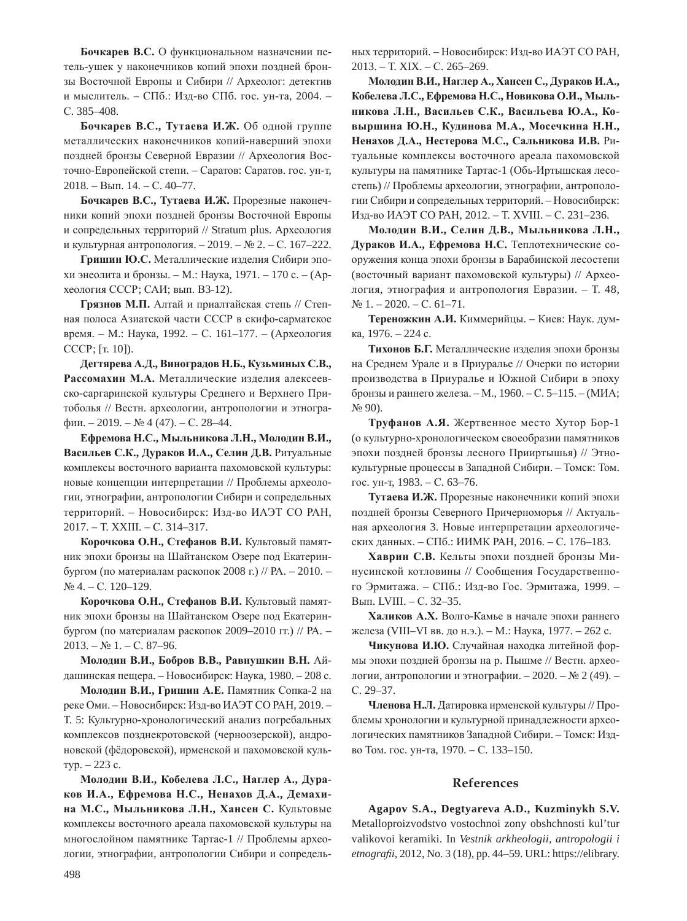Бочкарев В.С. О функциональном назначении петель-ушек у наконечников копий эпохи поздней бронзы Восточной Европы и Сибири // Археолог: детектив и мыслитель. – СПб.: Изд-во СПб. гос. ун-та, 2004. – C. 385-408.

**Бочкарев В.С., Тутаева И.Ж.** Об одной группе металлических наконечников копий-наверший эпохи поздней бронзы Северной Евразии // Археология Восточно-Европейской степи. – Саратов: Саратов. гос. ун-т, 2018. – Вып. 14. – С. 40–77.

**Бочкарев В.С., Тутаева И.Ж.** Прорезные наконечники копий эпохи поздней бронзы Восточной Европы и сопредельных территорий // Stratum plus. Археология и культурная антропология. – 2019. – № 2. – С. 167–222.

Гришин Ю.С. Металлические изделия Сибири эпохи энеолита и бронзы. – М.: Наука, 1971. – 170 с. – (Археология СССР; САИ; вып. В3-12).

Грязнов М.П. Алтай и приалтайская степь // Степная полоса Азиатской части СССР в скифо-сарматское время. – М.: Наука, 1992. – С. 161–177. – (Археология CCCP; [T. 10]).

**Ⱦɟɝɬɹɪɟɜɚ Ⱥ.Ⱦ., ȼɢɧɨɝɪɚɞɨɜ ɇ.Ȼ., Ʉɭɡɶɦɢɧɵɯ ɋ.ȼ.,**  Рассомахин М.А. Металлические изделия алексеевско-саргаринской культуры Среднего и Верхнего Притоболья // Вестн. археологии, антропологии и этногра $φ*HH.* – 2019. – *N*<sub>2</sub> 4 (47). – C. 28–44.$ 

 $E$ фремова Н.С., Мыльникова Л.Н., Молодин В.И., Васильев С.К., Дураков И.А., Селин Д.В. Ритуальные комплексы восточного варианта пахомовской культуры: новые концепции интерпретации // Проблемы археологии, этнографии, антропологии Сибири и сопредельных территорий. – Новосибирск: Изд-во ИАЭТ СО РАН, 2017. – T. XXIII. – C. 314–317.

Корочкова О.Н., Стефанов В.И. Культовый памятник эпохи бронзы на Шайтанском Озере под Екатеринбургом (по материалам раскопок 2008 г.) // РА. - 2010. -No 4. – C. 120–129.

Корочкова О.Н., Стефанов В.И. Культовый памятник эпохи бронзы на Шайтанском Озере под Екатеринбургом (по материалам раскопок 2009–2010 гг.) // РА. –  $2013. - N<sub>2</sub> 1. - C. 87-96.$ 

 $M$ олодин В.И., Бобров В.В., Равнушкин В.Н. Айдашинская пещера. – Новосибирск: Наука, 1980. – 208 с.

**Молодин В.И., Гришин А.Е.** Памятник Сопка-2 на реке Оми. – Новосибирск: Изд-во ИАЭТ СО РАН, 2019. – Т. 5: Культурно-хронологический анализ погребальных комплексов позднекротовской (черноозерской), андроновской (фёдоровской), ирменской и пахомовской куль- $Typ. - 223c.$ 

Молодин В.И., Кобелева Л.С., Наглер А., Дураков И.А., Ефремова Н.С., Ненахов Д.А., Демахи**на М.С., Мыльникова Л.Н., Хансен С.** Культовые комплексы восточного ареала пахомовской культуры на многослойном памятнике Тартас-1 // Проблемы археологии, этнографии, антропологии Сибири и сопредельных территорий. – Новосибирск: Изд-во ИАЭТ СО РАН, 2013. – T. XIX. – C. 265–269.

 $M$ олодин В.И., Наглер А., Хансен С., Дураков И.А., Кобелева Л.С., Ефремова Н.С., Новикова О.И., Мыль-**НИКОВА Л.Н., Васильев С.К., Васильева Ю.А., Ко-** $B$ ыршина Ю.Н., Кудинова М.А., Мосечкина Н.Н., Ненахов Д.А., Нестерова М.С., Сальникова И.В. Ритуальные комплексы восточного ареала пахомовской культуры на памятнике Тартас-1 (Обь-Иртышская лесостепь) // Проблемы археологии, этнографии, антропологии Сибири и сопредельных территорий. - Новосибирск: Изд-во ИАЭТ СО РАН, 2012. – Т. XVIII. – С. 231–236.

**Ɇɨɥɨɞɢɧ ȼ.ɂ., ɋɟɥɢɧ Ⱦ.ȼ., Ɇɵɥɶɧɢɤɨɜɚ Ʌ.ɇ., Дураков И.А., Ефремова Н.С.** Теплотехнические сооружения конца эпохи бронзы в Барабинской лесостепи (восточный вариант пахомовской культуры) // Археология, этнография и антропология Евразии. – Т. 48,  $N_2$  1. – 2020. – C. 61–71.

Тереножкин А.И. Киммерийцы. – Киев: Наук. думка, 1976. – 224 с.

Тихонов Б.Г. Металлические изделия эпохи бронзы на Среднем Урале и в Приуралье // Очерки по истории производства в Приуралье и Южной Сибири в эпоху бронзы и раннего железа. – М., 1960. – С. 5–115. – (МИА;  $N<sub>2</sub>$  90).

Труфанов А.Я. Жертвенное место Хутор Бор-1 (о культурно-хронологическом своеобразии памятников эпохи поздней бронзы лесного Прииртышья) // Этнокультурные процессы в Западной Сибири. – Томск: Том. гос. ун-т, 1983. – С. 63–76.

Тутаева И.Ж. Прорезные наконечники копий эпохи поздней бронзы Северного Причерноморья // Актуальная археология 3. Новые интерпретации археологических данных. – СПб.: ИИМК РАН, 2016. – С. 176–183.

Хаврин С.В. Кельты эпохи поздней бронзы Минусинской котловины // Сообщения Государственного Эрмитажа. – СПб.: Изд-во Гос. Эрмитажа, 1999. – Вып. LVIII. - С. 32-35.

Халиков А.Х. Волго-Камье в начале эпохи раннего железа (VIII–VI вв. до н.э.). – М.: Наука, 1977. – 262 с.

Чикунова И.Ю. Случайная находка литейной формы эпохи поздней бронзы на р. Пышме // Вестн. археологии, антропологии и этнографии. – 2020. – № 2 (49). – C. 29-37.

Членова Н.Л. Датировка ирменской культуры // Проблемы хронологии и культурной принадлежности археологических памятников Западной Сибири. – Томск: Издво Том. гос. ун-та, 1970. – С. 133-150.

## **References**

**Agapov S.A., Degtyareva A.D., Kuzminykh S.V.** Metalloproizvodstvo vostochnoi zony obshchnosti kul'tur valikovoi keramiki. In *Vestnik arkheologii, antropologii i etnografii,* 2012, No. 3 (18), pp. 44–59. URL: https://elibrary.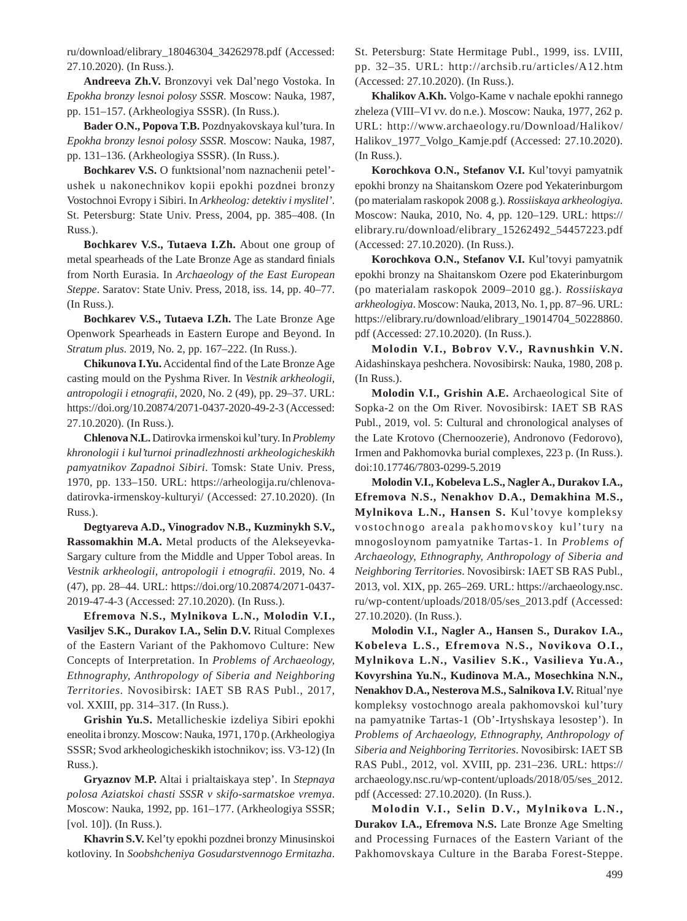ru/download/elibrary\_18046304\_34262978.pdf (Accessed: 27.10.2020). (In Russ.).

**Andreeva Zh.V.** Bronzovyi vek Dal'nego Vostoka. In *Epokha bronzy lesnoi polosy SSSR*. Moscow: Nauka, 1987, pp. 151–157. (Arkheologiya SSSR). (In Russ.).

**Bader O.N., Popova T.B.** Pozdnyakovskaya kul'tura. In *Epokha bronzy lesnoi polosy SSSR*. Moscow: Nauka, 1987, pp. 131–136. (Arkheologiya SSSR). (In Russ.).

**Bochkarev V.S.** O funktsional'nom naznachenii petel' ushek u nakonechnikov kopii epokhi pozdnei bronzy Vostochnoi Evropy i Sibiri. In *Arkheolog: detektiv i myslitel'*. St. Petersburg: State Univ. Press, 2004, pp. 385–408. (In Russ.).

**Bochkarev V.S., Tutaeva I.Zh.** About one group of metal spearheads of the Late Bronze Age as standard finials from North Eurasia. In *Archaeology of the East European Steppe*. Saratov: State Univ. Press, 2018, iss. 14, pp. 40–77. (In Russ.).

**Bochkarev V.S., Tutaeva I.Zh.** The Late Bronze Age Openwork Spearheads in Eastern Europe and Beyond. In *Stratum plus.* 2019, No. 2, pp. 167–222. (In Russ.).

Chikunova I.Yu. Accidental find of the Late Bronze Age casting mould on the Pyshma River. In *Vestnik arkheologii, antropologii i etnografii, 2020, No. 2 (49), pp. 29-37. URL:* https://doi.org/10.20874/2071-0437-2020-49-2-3 (Accessed: 27.10.2020). (In Russ.).

**Chlenova N.L.** Datirovka irmenskoi kul'tury. In *Problemy khronologii i kul'turnoi prinadlezhnosti arkheologicheskikh pamyatnikov Zapadnoi Sibiri*. Tomsk: State Univ. Press, 1970, pp. 133–150. URL: https://arheologija.ru/chlenovadatirovka-irmenskoy-kulturyi/ (Accessed: 27.10.2020). (In Russ.).

**Degtyareva A.D., Vinogradov N.B., Kuzminykh S.V., Rassomakhin M.A.** Metal products of the Alekseyevka-Sargary culture from the Middle and Upper Tobol areas. In *Vestnik arkheologii, antropologii i etnogra¿ i*. 2019, No. 4 (47), pp. 28–44. URL: https://doi.org/10.20874/2071-0437- 2019-47-4-3 (Accessed: 27.10.2020). (In Russ.).

**Efremova N.S., Mylnikova L.N., Molodin V.I., Vasiljev S.K., Durakov I.A., Selin D.V.** Ritual Complexes of the Eastern Variant of the Pakhomovo Culture: New Concepts of Interpretation. In *Problems of Archaeology, Ethnography, Anthropology of Siberia and Neighboring Territories*. Novosibirsk: IAET SB RAS Publ., 2017, vol. XXIII, pp. 314–317. (In Russ.).

**Grishin Yu.S.** Metallicheskie izdeliya Sibiri epokhi eneolita i bronzy. Moscow: Nauka, 1971, 170 p. (Arkheologiya SSSR; Svod arkheologicheskikh istochnikov; iss. V3-12) (In Russ.).

**Gryaznov M.P.** Altai i prialtaiskaya step'. In *Stepnaya polosa Aziatskoi chasti SSSR v skifo-sarmatskoe vremya*. Moscow: Nauka, 1992, pp. 161–177. (Arkheologiya SSSR; [vol. 10]). (In Russ.).

**Khavrin S.V.** Kel'ty epokhi pozdnei bronzy Minusinskoi kotloviny. In *Soobshcheniya Gosudarstvennogo Ermitazha*.

St. Petersburg: State Hermitage Publ., 1999, iss. LVIII, pp. 32–35. URL: http://archsib.ru/articles/A12.htm (Accessed: 27.10.2020). (In Russ.).

**Khalikov A.Kh.** Volgo-Kame v nachale epokhi rannego zheleza (VIII–VI vv. do n.e.). Moscow: Nauka, 1977, 262 p. URL: http://www.archaeology.ru/Download/Halikov/ Halikov\_1977\_Volgo\_Kamje.pdf (Accessed: 27.10.2020). (In Russ.).

**Korochkova O.N., Stefanov V.I.** Kul'tovyi pamyatnik epokhi bronzy na Shaitanskom Ozere pod Yekaterinburgom (po materialam raskopok 2008 g.). *Rossiiskaya arkheologiya*. Moscow: Nauka, 2010, No. 4, pp. 120–129. URL: https:// elibrary.ru/download/elibrary\_15262492\_54457223.pdf (Accessed: 27.10.2020). (In Russ.).

**Korochkova O.N., Stefanov V.I.** Kul'tovyi pamyatnik epokhi bronzy na Shaitanskom Ozere pod Ekaterinburgom (po materialam raskopok 2009–2010 gg.). *Rossiiskaya arkheologiya*. Moscow: Nauka, 2013, No. 1, pp. 87–96. URL: https://elibrary.ru/download/elibrary\_19014704\_50228860. pdf (Accessed: 27.10.2020). (In Russ.).

**Molodin V.I., Bobrov V.V., Ravnushkin V.N.** Aidashinskaya peshchera. Novosibirsk: Nauka, 1980, 208 p. (In Russ.).

**Molodin V.I., Grishin A.E.** Archaeological Site of Sopka-2 on the Om River. Novosibirsk: IAET SB RAS Publ., 2019, vol. 5: Cultural and chronological analyses of the Late Krotovo (Chernoozerie), Andronovo (Fedorovo), Irmen and Pakhomovka burial complexes, 223 p. (In Russ.). doi:10.17746/7803-0299-5.2019

**Molodin V.I., Kobeleva L.S., Nagler A., Durakov I.A., Efremova N.S., Nenakhov D.A., Demakhina M.S., Mylnikova L.N., Hansen S.** Kul'tovye kompleksy vostochnogo areala pakhomovskoy kul'tury na mnogosloynom pamyatnike Tartas-1. In *Problems of Archaeology, Ethnography, Anthropology of Siberia and Neighboring Territories*. Novosibirsk: IAET SB RAS Publ., 2013, vol. XIX, pp. 265–269. URL: https://archaeology.nsc. ru/wp-content/uploads/2018/05/ses\_2013.pdf (Accessed: 27.10.2020). (In Russ.).

**Molodin V.I., Nagler A., Hansen S., Durakov I.A., Kobeleva L.S., Efremova N.S., Novikova O.I., Mylnikova L.N., Vasiliev S.K., Vasilieva Yu.A., Kovyrshina Yu.N., Kudinova M.A., Mosechkina N.N., Nenakhov D.A., Nesterova M.S., Salnikova I.V.** Ritual'nye kompleksy vostochnogo areala pakhomovskoi kul'tury na pamyatnike Tartas-1 (Ob'-Irtyshskaya lesostep'). In *Problems of Archaeology, Ethnography, Anthropology of Siberia and Neighboring Territories*. Novosibirsk: IAET SB RAS Publ., 2012, vol. XVIII, pp. 231–236. URL: https:// archaeology.nsc.ru/wp-content/uploads/2018/05/ses\_2012. pdf (Accessed: 27.10.2020). (In Russ.).

**Molodin V.I., Selin D.V., Mylnikova L.N., Durakov I.A., Efremova N.S.** Late Bronze Age Smelting and Processing Furnaces of the Eastern Variant of the Pakhomovskaya Culture in the Baraba Forest-Steppe.